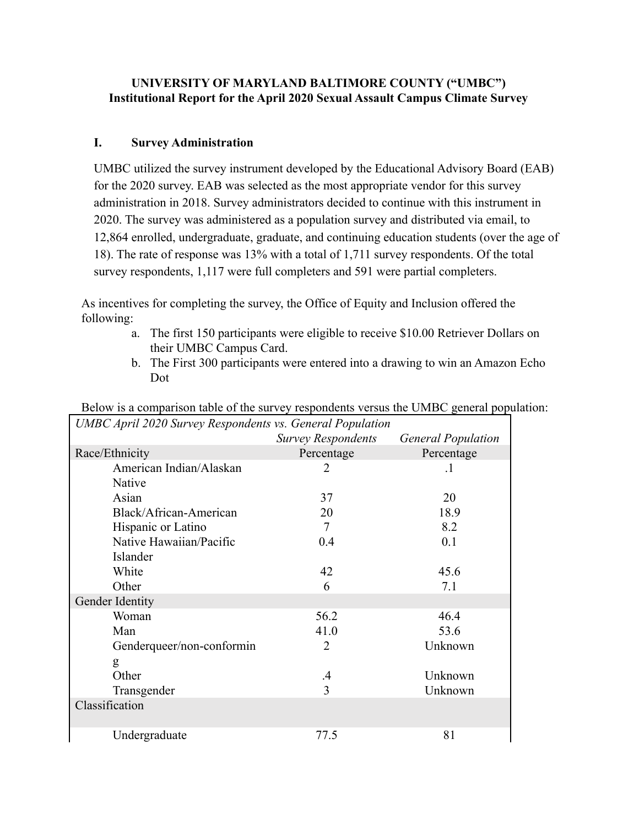### **UNIVERSITY OF MARYLAND BALTIMORE COUNTY ("UMBC") Institutional Report for the April 2020 Sexual Assault Campus Climate Survey**

### **I. Survey Administration**

UMBC utilized the survey instrument developed by the Educational Advisory Board (EAB) for the 2020 survey. EAB was selected as the most appropriate vendor for this survey administration in 2018. Survey administrators decided to continue with this instrument in 2020. The survey was administered as a population survey and distributed via email, to 12,864 enrolled, undergraduate, graduate, and continuing education students (over the age of 18). The rate of response was 13% with a total of 1,711 survey respondents. Of the total survey respondents, 1,117 were full completers and 591 were partial completers.

As incentives for completing the survey, the Office of Equity and Inclusion offered the following:

- a. The first 150 participants were eligible to receive \$10.00 Retriever Dollars on their UMBC Campus Card.
- b. The First 300 participants were entered into a drawing to win an Amazon Echo Dot

| <b>UMBC</b> April 2020 Survey Respondents vs. General Population |                           |                           |  |  |
|------------------------------------------------------------------|---------------------------|---------------------------|--|--|
|                                                                  | <b>Survey Respondents</b> | <b>General Population</b> |  |  |
| Race/Ethnicity                                                   | Percentage                | Percentage                |  |  |
| American Indian/Alaskan                                          | 2                         | $\cdot$                   |  |  |
| Native                                                           |                           |                           |  |  |
| Asian                                                            | 37                        | 20                        |  |  |
| Black/African-American                                           | 20                        | 18.9                      |  |  |
| Hispanic or Latino                                               | 7                         | 8.2                       |  |  |
| Native Hawaiian/Pacific                                          | 0.4                       | 0.1                       |  |  |
| Islander                                                         |                           |                           |  |  |
| White                                                            | 42                        | 45.6                      |  |  |
| Other                                                            | 6                         | 7.1                       |  |  |
| Gender Identity                                                  |                           |                           |  |  |
| Woman                                                            | 56.2                      | 46.4                      |  |  |
| Man                                                              | 41.0                      | 53.6                      |  |  |
| Genderqueer/non-conformin                                        | $\overline{2}$            | Unknown                   |  |  |
| g                                                                |                           |                           |  |  |
| Other                                                            | .4                        | Unknown                   |  |  |
| Transgender                                                      | 3                         | Unknown                   |  |  |
| Classification                                                   |                           |                           |  |  |
|                                                                  |                           |                           |  |  |
| Undergraduate                                                    | 77.5                      | 81                        |  |  |

Below is a comparison table of the survey respondents versus the UMBC general population: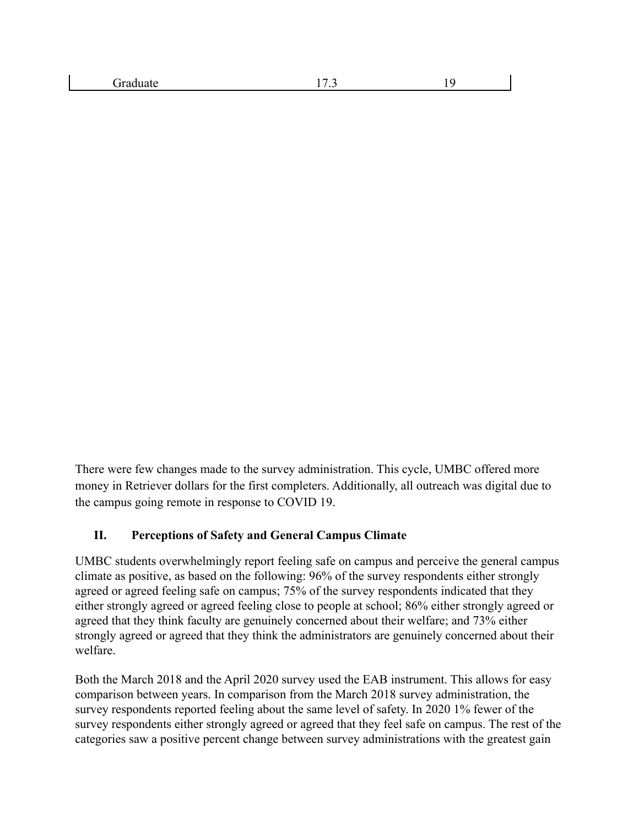| draduate | . | $\sim$ |
|----------|---|--------|
|          |   |        |

There were few changes made to the survey administration. This cycle, UMBC offered more money in Retriever dollars for the first completers. Additionally, all outreach was digital due to the campus going remote in response to COVID 19.

#### **II. Perceptions of Safety and General Campus Climate**

UMBC students overwhelmingly report feeling safe on campus and perceive the general campus climate as positive, as based on the following: 96% of the survey respondents either strongly agreed or agreed feeling safe on campus; 75% of the survey respondents indicated that they either strongly agreed or agreed feeling close to people at school; 86% either strongly agreed or agreed that they think faculty are genuinely concerned about their welfare; and 73% either strongly agreed or agreed that they think the administrators are genuinely concerned about their welfare.

Both the March 2018 and the April 2020 survey used the EAB instrument. This allows for easy comparison between years. In comparison from the March 2018 survey administration, the survey respondents reported feeling about the same level of safety. In 2020 1% fewer of the survey respondents either strongly agreed or agreed that they feel safe on campus. The rest of the categories saw a positive percent change between survey administrations with the greatest gain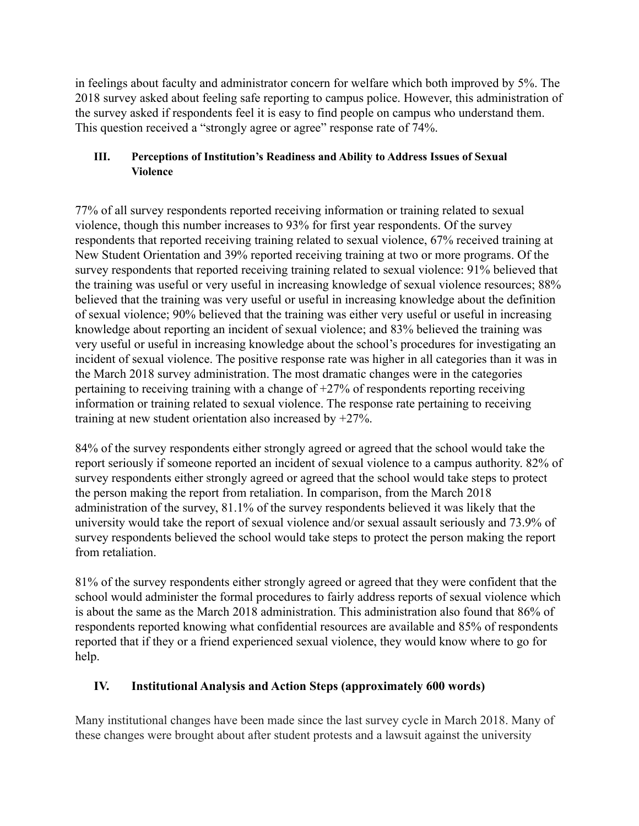in feelings about faculty and administrator concern for welfare which both improved by 5%. The 2018 survey asked about feeling safe reporting to campus police. However, this administration of the survey asked if respondents feel it is easy to find people on campus who understand them. This question received a "strongly agree or agree" response rate of 74%.

## **III. Perceptions of Institution's Readiness and Ability to Address Issues of Sexual Violence**

77% of all survey respondents reported receiving information or training related to sexual violence, though this number increases to 93% for first year respondents. Of the survey respondents that reported receiving training related to sexual violence, 67% received training at New Student Orientation and 39% reported receiving training at two or more programs. Of the survey respondents that reported receiving training related to sexual violence: 91% believed that the training was useful or very useful in increasing knowledge of sexual violence resources; 88% believed that the training was very useful or useful in increasing knowledge about the definition of sexual violence; 90% believed that the training was either very useful or useful in increasing knowledge about reporting an incident of sexual violence; and 83% believed the training was very useful or useful in increasing knowledge about the school's procedures for investigating an incident of sexual violence. The positive response rate was higher in all categories than it was in the March 2018 survey administration. The most dramatic changes were in the categories pertaining to receiving training with a change of +27% of respondents reporting receiving information or training related to sexual violence. The response rate pertaining to receiving training at new student orientation also increased by +27%.

84% of the survey respondents either strongly agreed or agreed that the school would take the report seriously if someone reported an incident of sexual violence to a campus authority. 82% of survey respondents either strongly agreed or agreed that the school would take steps to protect the person making the report from retaliation. In comparison, from the March 2018 administration of the survey, 81.1% of the survey respondents believed it was likely that the university would take the report of sexual violence and/or sexual assault seriously and 73.9% of survey respondents believed the school would take steps to protect the person making the report from retaliation.

81% of the survey respondents either strongly agreed or agreed that they were confident that the school would administer the formal procedures to fairly address reports of sexual violence which is about the same as the March 2018 administration. This administration also found that 86% of respondents reported knowing what confidential resources are available and 85% of respondents reported that if they or a friend experienced sexual violence, they would know where to go for help.

# **IV. Institutional Analysis and Action Steps (approximately 600 words)**

Many institutional changes have been made since the last survey cycle in March 2018. Many of these changes were brought about after student protests and a lawsuit against the university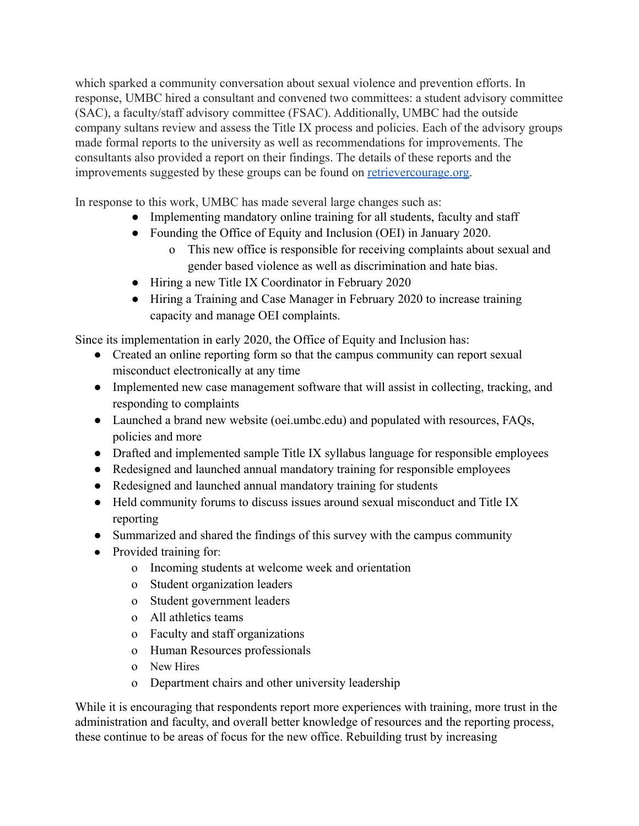which sparked a community conversation about sexual violence and prevention efforts. In response, UMBC hired a consultant and convened two committees: a student advisory committee (SAC), a faculty/staff advisory committee (FSAC). Additionally, UMBC had the outside company sultans review and assess the Title IX process and policies. Each of the advisory groups made formal reports to the university as well as recommendations for improvements. The consultants also provided a report on their findings. The details of these reports and the improvements suggested by these groups can be found on [retrievercourage.org.](http://retrievercourage.org/)

In response to this work, UMBC has made several large changes such as:

- Implementing mandatory online training for all students, faculty and staff
- Founding the Office of Equity and Inclusion (OEI) in January 2020.
	- o This new office is responsible for receiving complaints about sexual and gender based violence as well as discrimination and hate bias.
- Hiring a new Title IX Coordinator in February 2020
- Hiring a Training and Case Manager in February 2020 to increase training capacity and manage OEI complaints.

Since its implementation in early 2020, the Office of Equity and Inclusion has:

- Created an online reporting form so that the campus community can report sexual misconduct electronically at any time
- Implemented new case management software that will assist in collecting, tracking, and responding to complaints
- Launched a brand new website (oei.umbc.edu) and populated with resources, FAQs, policies and more
- Drafted and implemented sample Title IX syllabus language for responsible employees
- Redesigned and launched annual mandatory training for responsible employees
- Redesigned and launched annual mandatory training for students
- Held community forums to discuss issues around sexual misconduct and Title IX reporting
- Summarized and shared the findings of this survey with the campus community
- Provided training for:
	- o Incoming students at welcome week and orientation
	- o Student organization leaders
	- o Student government leaders
	- o All athletics teams
	- o Faculty and staff organizations
	- o Human Resources professionals
	- o New Hires
	- o Department chairs and other university leadership

While it is encouraging that respondents report more experiences with training, more trust in the administration and faculty, and overall better knowledge of resources and the reporting process, these continue to be areas of focus for the new office. Rebuilding trust by increasing